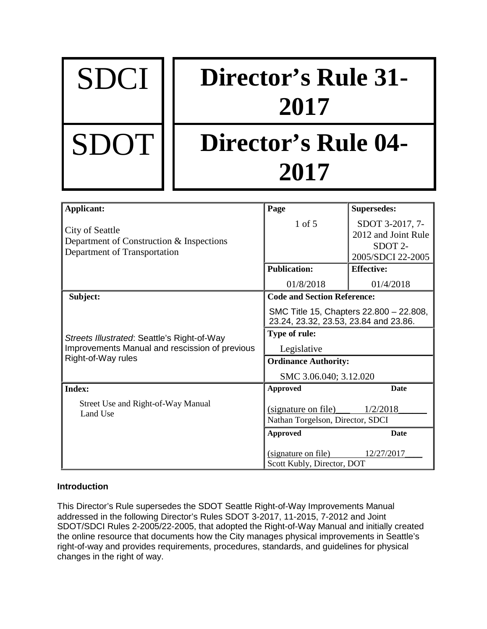| <b>SDCI</b> | <b>Director's Rule 31-</b><br>2017 |
|-------------|------------------------------------|
| <b>SDOT</b> | Director's Rule 04-<br>2017        |

| Applicant:                                                                                  | Page                                                                             | <b>Supersedes:</b>                                                                 |
|---------------------------------------------------------------------------------------------|----------------------------------------------------------------------------------|------------------------------------------------------------------------------------|
| City of Seattle<br>Department of Construction & Inspections<br>Department of Transportation | $1$ of $5$                                                                       | SDOT 3-2017, 7-<br>2012 and Joint Rule<br>SDOT <sub>2</sub> -<br>2005/SDCI 22-2005 |
|                                                                                             | <b>Publication:</b>                                                              | <b>Effective:</b>                                                                  |
|                                                                                             | 01/8/2018                                                                        | 01/4/2018                                                                          |
| Subject:                                                                                    | <b>Code and Section Reference:</b>                                               |                                                                                    |
|                                                                                             | SMC Title 15, Chapters 22.800 - 22.808,<br>23.24, 23.32, 23.53, 23.84 and 23.86. |                                                                                    |
| Streets Illustrated: Seattle's Right-of-Way                                                 | Type of rule:                                                                    |                                                                                    |
| Improvements Manual and rescission of previous                                              | Legislative                                                                      |                                                                                    |
| Right-of-Way rules                                                                          | <b>Ordinance Authority:</b>                                                      |                                                                                    |
|                                                                                             | SMC 3.06.040; 3.12.020                                                           |                                                                                    |
| <b>Index:</b>                                                                               | <b>Approved</b>                                                                  | <b>Date</b>                                                                        |
| Street Use and Right-of-Way Manual<br>Land Use                                              | (signature on file)                                                              | 1/2/2018                                                                           |
|                                                                                             | Nathan Torgelson, Director, SDCI                                                 |                                                                                    |
|                                                                                             | <b>Approved</b>                                                                  | <b>Date</b>                                                                        |
|                                                                                             | (signature on file)<br>Scott Kubly, Director, DOT                                | 12/27/2017                                                                         |

# **Introduction**

This Director's Rule supersedes the SDOT Seattle Right-of-Way Improvements Manual addressed in the following Director's Rules SDOT 3-2017, 11-2015, 7-2012 and Joint SDOT/SDCI Rules 2-2005/22-2005, that adopted the Right-of-Way Manual and initially created the online resource that documents how the City manages physical improvements in Seattle's right-of-way and provides requirements, procedures, standards, and guidelines for physical changes in the right of way.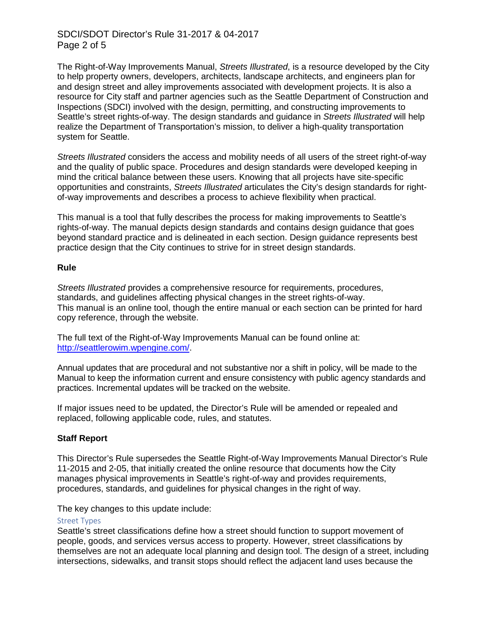## SDCI/SDOT Director's Rule 31-2017 & 04-2017 Page 2 of 5

The Right-of-Way Improvements Manual, *Streets Illustrated*, is a resource developed by the City to help property owners, developers, architects, landscape architects, and engineers plan for and design street and alley improvements associated with development projects. It is also a resource for City staff and partner agencies such as the Seattle Department of Construction and Inspections (SDCI) involved with the design, permitting, and constructing improvements to Seattle's street rights-of-way. The design standards and guidance in *Streets Illustrated* will help realize the Department of Transportation's mission, to deliver a high-quality transportation system for Seattle.

*Streets Illustrated* considers the access and mobility needs of all users of the street right-of-way and the quality of public space. Procedures and design standards were developed keeping in mind the critical balance between these users. Knowing that all projects have site-specific opportunities and constraints, *Streets Illustrated* articulates the City's design standards for rightof-way improvements and describes a process to achieve flexibility when practical.

This manual is a tool that fully describes the process for making improvements to Seattle's rights-of-way. The manual depicts design standards and contains design guidance that goes beyond standard practice and is delineated in each section. Design guidance represents best practice design that the City continues to strive for in street design standards.

### **Rule**

*Streets Illustrated* provides a comprehensive resource for requirements, procedures, standards, and guidelines affecting physical changes in the street rights-of-way. This manual is an online tool, though the entire manual or each section can be printed for hard copy reference, through the website.

The full text of the Right-of-Way Improvements Manual can be found online at: [http://seattlerowim.wpengine.com/.](http://seattlerowim.wpengine.com/)

Annual updates that are procedural and not substantive nor a shift in policy, will be made to the Manual to keep the information current and ensure consistency with public agency standards and practices. Incremental updates will be tracked on the website.

If major issues need to be updated, the Director's Rule will be amended or repealed and replaced, following applicable code, rules, and statutes.

## **Staff Report**

This Director's Rule supersedes the Seattle Right-of-Way Improvements Manual Director's Rule 11-2015 and 2-05, that initially created the online resource that documents how the City manages physical improvements in Seattle's right-of-way and provides requirements, procedures, standards, and guidelines for physical changes in the right of way.

The key changes to this update include:

### Street Types

Seattle's street classifications define how a street should function to support movement of people, goods, and services versus access to property. However, street classifications by themselves are not an adequate local planning and design tool. The design of a street, including intersections, sidewalks, and transit stops should reflect the adjacent land uses because the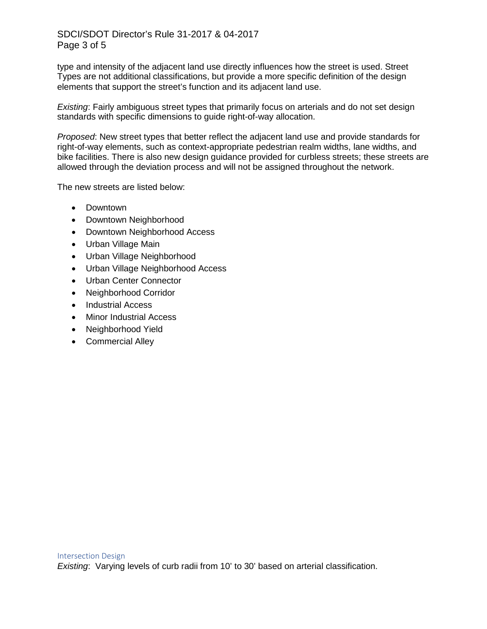# SDCI/SDOT Director's Rule 31-2017 & 04-2017 Page 3 of 5

type and intensity of the adjacent land use directly influences how the street is used. Street Types are not additional classifications, but provide a more specific definition of the design elements that support the street's function and its adjacent land use.

*Existing*: Fairly ambiguous street types that primarily focus on arterials and do not set design standards with specific dimensions to guide right-of-way allocation.

*Proposed*: New street types that better reflect the adjacent land use and provide standards for right-of-way elements, such as context-appropriate pedestrian realm widths, lane widths, and bike facilities. There is also new design guidance provided for curbless streets; these streets are allowed through the deviation process and will not be assigned throughout the network.

The new streets are listed below:

- Downtown
- Downtown Neighborhood
- Downtown Neighborhood Access
- Urban Village Main
- Urban Village Neighborhood
- Urban Village Neighborhood Access
- Urban Center Connector
- Neighborhood Corridor
- Industrial Access
- Minor Industrial Access
- Neighborhood Yield
- Commercial Alley

*Existing*: Varying levels of curb radii from 10' to 30' based on arterial classification.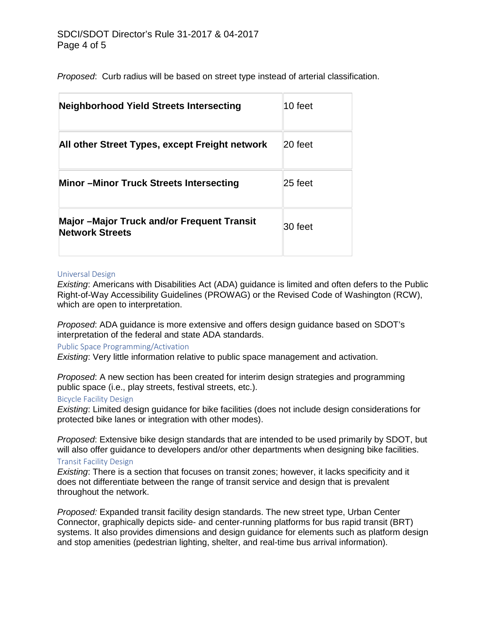*Proposed*: Curb radius will be based on street type instead of arterial classification.

| <b>Neighborhood Yield Streets Intersecting</b>                              | 10 feet |
|-----------------------------------------------------------------------------|---------|
| All other Street Types, except Freight network                              | 20 feet |
| <b>Minor-Minor Truck Streets Intersecting</b>                               | 25 feet |
| <b>Major -Major Truck and/or Frequent Transit</b><br><b>Network Streets</b> | 30 feet |

### Universal Design

*Existing*: Americans with Disabilities Act (ADA) guidance is limited and often defers to the Public Right-of-Way Accessibility Guidelines (PROWAG) or the Revised Code of Washington (RCW), which are open to interpretation.

*Proposed*: ADA guidance is more extensive and offers design guidance based on SDOT's interpretation of the federal and state ADA standards.

## Public Space Programming/Activation

*Existing*: Very little information relative to public space management and activation.

*Proposed*: A new section has been created for interim design strategies and programming public space (i.e., play streets, festival streets, etc.).

### Bicycle Facility Design

*Existing*: Limited design guidance for bike facilities (does not include design considerations for protected bike lanes or integration with other modes).

*Proposed*: Extensive bike design standards that are intended to be used primarily by SDOT, but will also offer guidance to developers and/or other departments when designing bike facilities.

## Transit Facility Design

*Existing*: There is a section that focuses on transit zones; however, it lacks specificity and it does not differentiate between the range of transit service and design that is prevalent throughout the network.

*Proposed:* Expanded transit facility design standards. The new street type, Urban Center Connector, graphically depicts side- and center-running platforms for bus rapid transit (BRT) systems. It also provides dimensions and design guidance for elements such as platform design and stop amenities (pedestrian lighting, shelter, and real-time bus arrival information).